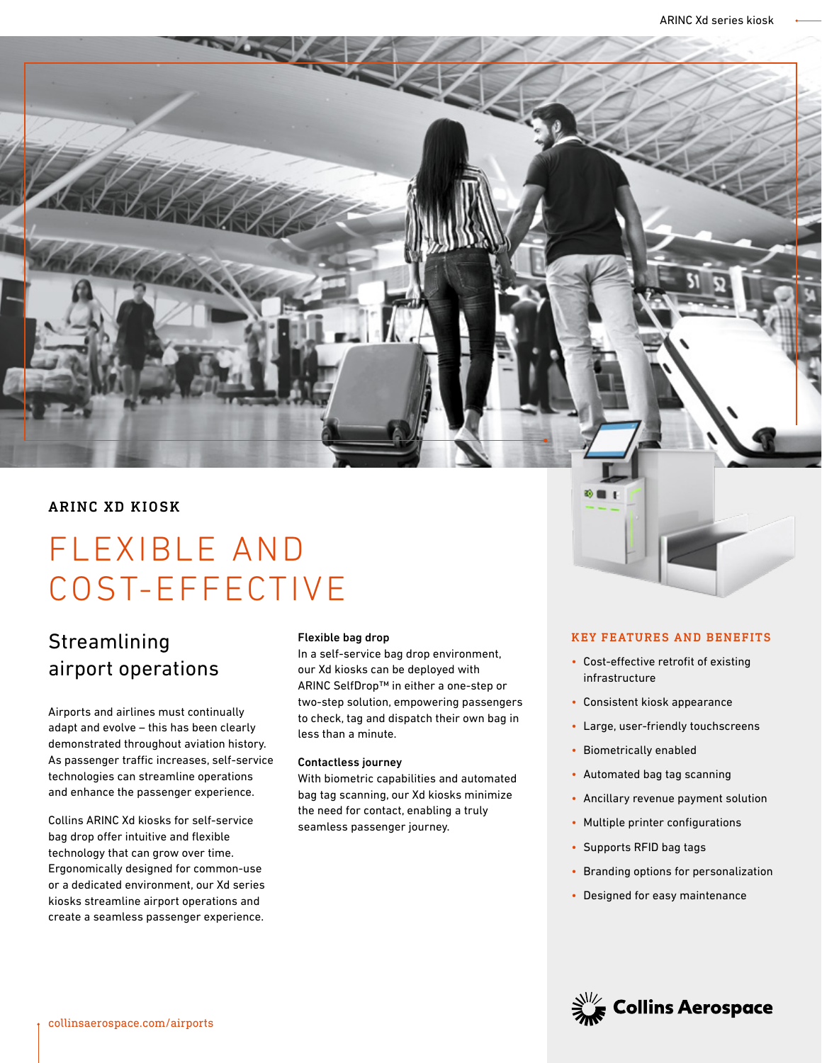# ARINC XD KIOSK

# FLEXIBLE AND COST-EFFECTIVE

# **Streamlining** airport operations

Airports and airlines must continually adapt and evolve – this has been clearly demonstrated throughout aviation history. As passenger traffic increases, self-service technologies can streamline operations and enhance the passenger experience.

Collins ARINC Xd kiosks for self-service bag drop offer intuitive and flexible technology that can grow over time. Ergonomically designed for common-use or a dedicated environment, our Xd series kiosks streamline airport operations and create a seamless passenger experience.

#### Flexible bag drop

In a self-service bag drop environment, our Xd kiosks can be deployed with ARINC SelfDrop™ in either a one-step or two-step solution, empowering passengers to check, tag and dispatch their own bag in less than a minute.

#### Contactless journey

With biometric capabilities and automated bag tag scanning, our Xd kiosks minimize the need for contact, enabling a truly seamless passenger journey.

### KEY FEATURES AND BENEFITS

- Cost-effective retrofit of existing infrastructure
- Consistent kiosk appearance
- Large, user-friendly touchscreens
- Biometrically enabled
- Automated bag tag scanning
- Ancillary revenue payment solution
- Multiple printer configurations
- Supports RFID bag tags
- Branding options for personalization
- Designed for easy maintenance